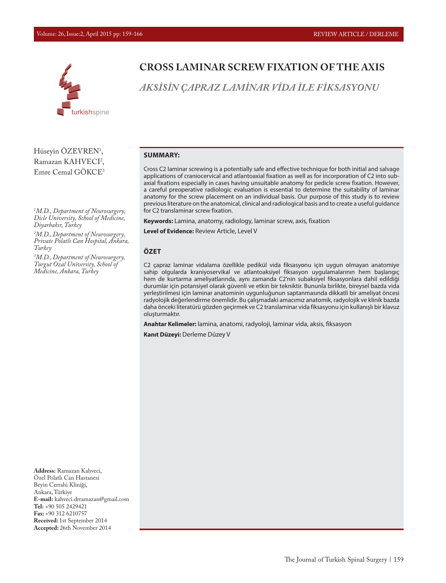

Hüseyin ÖZEVREN<sup>1</sup>, Ramazan KAHVECI<sup>2</sup>, Emre Cemal GÖKCE3

*1 M.D., Department of Neurosurgery, Dicle University, School of Medicine, Diyarbakır, Turkey*

*2 M.D.,Department of Neurosurgery, Private Polatlı Can Hospital, Ankara, Turkey*

*3 M.D.,Department of Neurosurgery, Turgut Ozal University, School of Medicine, Ankara, Turkey*

**CROSS LAMINAR SCREW FIXATION OF THE AXIS**

*AKSİSİN ÇAPRAZ LAMİNAR VİDA İLE FİKSASYONU*

#### **SUMMARY:**

Cross C2 laminar screwing is a potentially safe and effective technique for both initial and salvage applications of craniocervical and atlantoaxial fixation as well as for incorporation of C2 into subaxial fixations especially in cases having unsuitable anatomy for pedicle screw fixation. However, a careful preoperative radiologic evaluation is essential to determine the suitability of laminar anatomy for the screw placement on an individual basis. Our purpose of this study is to review previous literature on the anatomical, clinical and radiological basis and to create a useful guidance for C2 translaminar screw fixation.

**Keywords:** Lamina, anatomy, radiology, laminar screw, axis, fixation

**Level of Evidence:** Review Article, Level V

### **ÖZET**

C2 çapraz laminar vidalama özellikle pedikül vida fiksasyonu için uygun olmayan anatomiye sahip olgularda kraniyoservikal ve atlantoaksiyel fiksasyon uygulamalarının hem başlangıç hem de kurtarma ameliyatlarında, aynı zamanda C2'nin subaksiyel fiksasyonlara dahil edildiği durumlar için potansiyel olarak güvenli ve etkin bir tekniktir. Bununla birlikte, bireysel bazda vida yerleştirilmesi için laminar anatominin uygunluğunun saptanmasında dikkatli bir ameliyat öncesi radyolojik değerlendirme önemlidir. Bu çalışmadaki amacımız anatomik, radyolojik ve klinik bazda daha önceki literatürü gözden geçirmek ve C2 translaminar vida fiksasyonu için kullanışlı bir klavuz oluşturmaktır.

**Anahtar Kelimeler:** lamina, anatomi, radyoloji, laminar vida, aksis, fiksasyon

**Kanıt Düzeyi:** Derleme Düzey V

**Address:** Ramazan Kahveci, Özel Polatlı Can Hastanesi Beyin Cerrahi Kliniği, Ankara, Türkiye **E-mail:** kahveci.drramazan@gmail.com **Tel:** +90 505 2429421 **Fax:** +90 312 6210757 **Received:** 1st September 2014 **Accepted:** 26th November 2014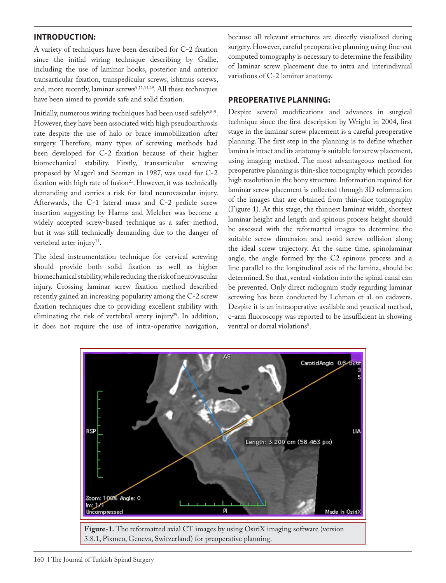## **INTRODUCTION:**

A variety of techniques have been described for C-2 fixation since the initial wiring technique describing by Gallie, including the use of laminar hooks, posterior and anterior transarticular fixation, transpedicular screws, ishtmus screws, and, more recently, laminar screws<sup>9,11,14,29</sup>. All these techniques have been aimed to provide safe and solid fixation.

Initially, numerous wiring techniques had been used safely<sup>6,8-9</sup>. However, they have been associated with high pseudoarthrosis rate despite the use of halo or brace immobilization after surgery. Therefore, many types of screwing methods had been developed for C-2 fixation because of their higher biomechanical stability. Firstly, transarticular screwing proposed by Magerl and Seeman in 1987, was used for C-2 fixation with high rate of fusion<sup>21</sup>. However, it was technically demanding and carries a risk for fatal neurovascular injury. Afterwards, the C-1 lateral mass and C-2 pedicle screw insertion suggesting by Harms and Melcher was become a widely accepted screw-based technique as a safer method, but it was still technically demanding due to the danger of vertebral arter injury<sup>11</sup>.

The ideal instrumentation technique for cervical screwing should provide both solid fixation as well as higher biomechanical stability, while reducing the risk of neurovascular injury. Crossing laminar screw fixation method described recently gained an increasing popularity among the C-2 screw fixation techniques due to providing excellent stability with eliminating the risk of vertebral artery injury<sup>29</sup>. In addition, it does not require the use of intra-operative navigation, because all relevant structures are directly visualized during surgery. However, careful preoperative planning using fine-cut computed tomography is necessary to determine the feasibility of laminar screw placement due to intra and interindiviual variations of C-2 laminar anatomy.

## **PREOPERATIVE PLANNING:**

Despite several modifications and advances in surgical technique since the first description by Wright in 2004, first stage in the laminar screw placement is a careful preoperative planning. The first step in the planning is to define whether lamina is intact and its anatomy is suitable for screw placement, using imaging method. The most advantageous method for preoperative planning is thin-slice tomography which provides high resolution in the bony structure. Information required for laminar screw placement is collected through 3D reformation of the images that are obtained from thin-slice tomography (Figure 1). At this stage, the thinnest laminar width, shortest laminar height and length and spinous process height should be assessed with the reformatted images to determine the suitable screw dimension and avoid screw collision along the ideal screw trajectory. At the same time, spinolaminar angle, the angle formed by the C2 spinous process and a line parallel to the longitudinal axis of the lamina, should be determined. So that, ventral violation into the spinal canal can be prevented. Only direct radiogram study regarding laminar screwing has been conducted by Lehman et al. on cadavers. Despite it is an intraoperative available and practical method, c-arm fluoroscopy was reported to be insufficient in showing ventral or dorsal violations<sup>8</sup>.

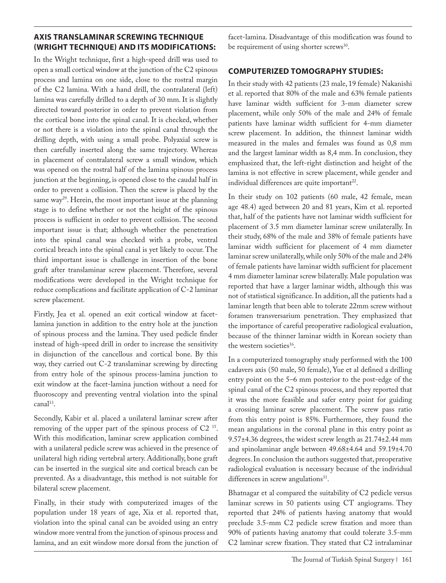## **AXIS TRANSLAMINAR SCREWING TECHNIQUE (WRIGHT TECHNIQUE) AND ITS MODIFICATIONS:**

In the Wright technique, first a high-speed drill was used to open a small cortical window at the junction of the C2 spinous process and lamina on one side, close to the rostral margin of the C2 lamina. With a hand drill, the contralateral (left) lamina was carefully drilled to a depth of 30 mm. It is slightly directed toward posterior in order to prevent violation from the cortical bone into the spinal canal. It is checked, whether or not there is a violation into the spinal canal through the drilling depth, with using a small probe. Polyaxial screw is then carefully inserted along the same trajectory. Whereas in placement of contralateral screw a small window, which was opened on the rostral half of the lamina spinous process junction at the beginning, is opened close to the caudal half in order to prevent a collision. Then the screw is placed by the same way<sup>29</sup>. Herein, the most important issue at the planning stage is to define whether or not the height of the spinous process is sufficient in order to prevent collision. The second important issue is that; although whether the penetration into the spinal canal was checked with a probe, ventral cortical breach into the spinal canal is yet likely to occur. The third important issue is challenge in insertion of the bone graft after translaminar screw placement. Therefore, several modifications were developed in the Wright technique for reduce complications and facilitate application of C-2 laminar screw placement.

Firstly, Jea et al. opened an exit cortical window at facetlamina junction in addition to the entry hole at the junction of spinous process and the lamina. They used pedicle finder instead of high-speed drill in order to increase the sensitivity in disjunction of the cancellous and cortical bone. By this way, they carried out C-2 translaminar screwing by directing from entry hole of the spinous process-lamina junction to exit window at the facet-lamina junction without a need for fluoroscopy and preventing ventral violation into the spinal canal<sup>13</sup>.

Secondly, Kabir et al. placed a unilateral laminar screw after removing of the upper part of the spinous process of C2 15. With this modification, laminar screw application combined with a unilateral pedicle screw was achieved in the presence of unilateral high riding vertebral artery. Additionally, bone graft can be inserted in the surgical site and cortical breach can be prevented. As a disadvantage, this method is not suitable for bilateral screw placement.

Finally, in their study with computerized images of the population under 18 years of age, Xia et al. reported that, violation into the spinal canal can be avoided using an entry window more ventral from the junction of spinous process and lamina, and an exit window more dorsal from the junction of

facet-lamina. Disadvantage of this modification was found to be requirement of using shorter screws<sup>30</sup>.

## **COMPUTERIZED TOMOGRAPHY STUDIES:**

In their study with 42 patients (23 male, 19 female) Nakanishi et al. reported that 80% of the male and 63% female patients have laminar width sufficient for 3-mm diameter screw placement, while only 50% of the male and 24% of female patients have laminar width sufficient for 4-mm diameter screw placement. In addition, the thinnest laminar width measured in the males and females was found as 0,8 mm and the largest laminar width as 8,4 mm. In conclusion, they emphasized that, the left-right distinction and height of the lamina is not effective in screw placement, while gender and individual differences are quite important<sup>22</sup>.

In their study on 102 patients (60 male, 42 female, mean age 48.4) aged between 20 and 81 years, Kim et al. reported that, half of the patients have not laminar width sufficient for placement of 3.5 mm diameter laminar screw unilaterally. In their study, 68% of the male and 38% of female patients have laminar width sufficient for placement of 4 mm diameter laminar screw unilaterally, while only 50% of the male and 24% of female patients have laminar width sufficient for placement 4 mm diameter laminar screw bilaterally. Male population was reported that have a larger laminar width, although this was not of statistical significance. In addition, all the patients had a laminar length that been able to tolerate 22mm screw without foramen transversarium penetration. They emphasized that the importance of careful preoperative radiological evaluation, because of the thinner laminar width in Korean society than the western societies<sup>16</sup>.

In a computerized tomography study performed with the 100 cadavers axis (50 male, 50 female), Yue et al defined a drilling entry point on the 5–6 mm posterior to the post-edge of the spinal canal of the C2 spinous process, and they reported that it was the more feasible and safer entry point for guiding a crossing laminar screw placement. The screw pass ratio from this entry point is 85%. Furthermore, they found the mean angulations in the coronal plane in this entry point as 9.57±4.36 degrees, the widest screw length as 21.74±2.44 mm and spinolaminar angle between 49.68±4.64 and 59.19±4.70 degrees. In conclusion the authors suggested that, preoperative radiological evaluation is necessary because of the individual differences in screw angulations $31$ .

Bhatnagar et al compared the suitability of C2 pedicle versus laminar screws in 50 patients using CT angiograms. They reported that 24% of patients having anatomy that would preclude 3.5-mm C2 pedicle screw fixation and more than 90% of patients having anatomy that could tolerate 3.5-mm C2 laminar screw fixation. They stated that C2 intralaminar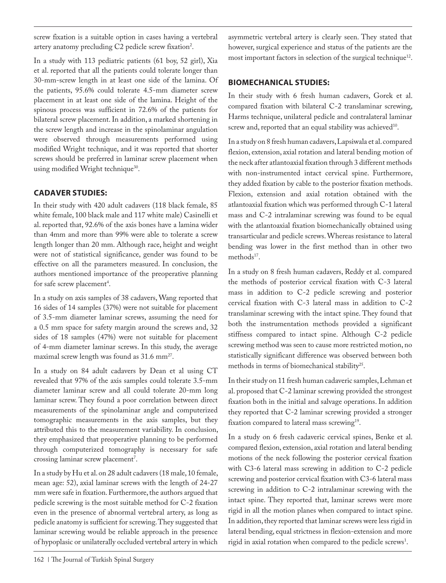screw fixation is a suitable option in cases having a vertebral artery anatomy precluding  $C2$  pedicle screw fixation<sup>2</sup>.

In a study with 113 pediatric patients (61 boy, 52 girl), Xia et al. reported that all the patients could tolerate longer than 30-mm-screw length in at least one side of the lamina. Of the patients, 95.6% could tolerate 4.5-mm diameter screw placement in at least one side of the lamina. Height of the spinous process was sufficient in 72.6% of the patients for bilateral screw placement. In addition, a marked shortening in the screw length and increase in the spinolaminar angulation were observed through measurements performed using modified Wright technique, and it was reported that shorter screws should be preferred in laminar screw placement when using modified Wright technique<sup>30</sup>.

# **CADAVER STUDIES:**

In their study with 420 adult cadavers (118 black female, 85 white female, 100 black male and 117 white male) Casinelli et al. reported that, 92.6% of the axis bones have a lamina wider than 4mm and more than 99% were able to tolerate a screw length longer than 20 mm. Although race, height and weight were not of statistical significance, gender was found to be effective on all the parameters measured. In conclusion, the authors mentioned importance of the preoperative planning for safe screw placement<sup>4</sup>.

In a study on axis samples of 38 cadavers, Wang reported that 16 sides of 14 samples (37%) were not suitable for placement of 3.5-mm diameter laminar screws, assuming the need for a 0.5 mm space for safety margin around the screws and, 32 sides of 18 samples (47%) were not suitable for placement of 4-mm diameter laminar screws. In this study, the average maximal screw length was found as 31.6 mm<sup>27</sup>.

In a study on 84 adult cadavers by Dean et al using CT revealed that 97% of the axis samples could tolerate 3.5-mm diameter laminar screw and all could tolerate 20-mm long laminar screw. They found a poor correlation between direct measurements of the spinolaminar angle and computerized tomographic measurements in the axis samples, but they attributed this to the measurement variability. In conclusion, they emphasized that preoperative planning to be performed through computerized tomography is necessary for safe crossing laminar screw placement'.

In a study by Hu et al. on 28 adult cadavers (18 male, 10 female, mean age: 52), axial laminar screws with the length of 24-27 mm were safe in fixation. Furthermore, the authors argued that pedicle screwing is the most suitable method for C-2 fixation even in the presence of abnormal vertebral artery, as long as pedicle anatomy is sufficient for screwing. They suggested that laminar screwing would be reliable approach in the presence of hypoplasic or unilaterally occluded vertebral artery in which

asymmetric vertebral artery is clearly seen. They stated that however, surgical experience and status of the patients are the most important factors in selection of the surgical technique<sup>12</sup>.

# **BIOMECHANICAL STUDIES:**

In their study with 6 fresh human cadavers, Gorek et al. compared fixation with bilateral C-2 translaminar screwing, Harms technique, unilateral pedicle and contralateral laminar screw and, reported that an equal stability was achieved<sup>10</sup>.

In a study on 8 fresh human cadavers, Lapsiwala et al. compared flexion, extension, axial rotation and lateral bending motion of the neck after atlantoaxial fixation through 3 different methods with non-instrumented intact cervical spine. Furthermore, they added fixation by cable to the posterior fixation methods. Flexion, extension and axial rotation obtained with the atlantoaxial fixation which was performed through C-1 lateral mass and C-2 intralaminar screwing was found to be equal with the atlantoaxial fixation biomechanically obtained using transarticular and pedicle screws. Whereas resistance to lateral bending was lower in the first method than in other two methods<sup>17</sup>.

In a study on 8 fresh human cadavers, Reddy et al. compared the methods of posterior cervical fixation with C-3 lateral mass in addition to C-2 pedicle screwing and posterior cervical fixation with C-3 lateral mass in addition to C-2 translaminar screwing with the intact spine. They found that both the instrumentation methods provided a significant stiffness compared to intact spine. Although C-2 pedicle screwing method was seen to cause more restricted motion, no statistically significant difference was observed between both methods in terms of biomechanical stability<sup>25</sup>.

In their study on 11 fresh human cadaveric samples, Lehman et al. proposed that C-2 laminar screwing provided the strongest fixation both in the initial and salvage operations. In addition they reported that C-2 laminar screwing provided a stronger fixation compared to lateral mass screwing<sup>19</sup>.

In a study on 6 fresh cadaveric cervical spines, Benke et al. compared flexion, extension, axial rotation and lateral bending motions of the neck following the posterior cervical fixation with C3-6 lateral mass screwing in addition to C-2 pedicle screwing and posterior cervical fixation with C3-6 lateral mass screwing in addition to C-2 intralaminar screwing with the intact spine. They reported that, laminar screws were more rigid in all the motion planes when compared to intact spine. In addition, they reported that laminar screws were less rigid in lateral bending, equal strictness in flexion-extension and more rigid in axial rotation when compared to the pedicle screws<sup>1</sup>.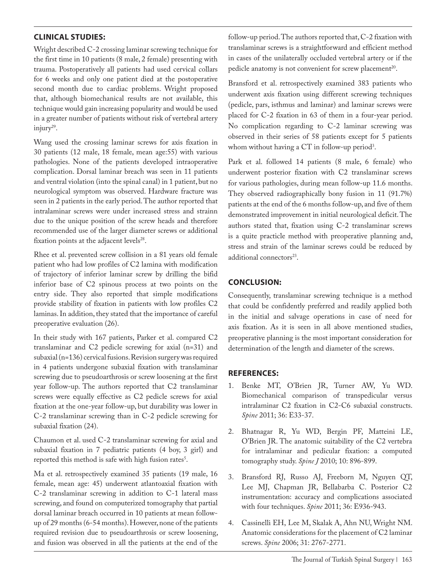# **CLINICAL STUDIES:**

Wright described C-2 crossing laminar screwing technique for the first time in 10 patients (8 male, 2 female) presenting with trauma. Postoperatively all patients had used cervical collars for 6 weeks and only one patient died at the postoperative second month due to cardiac problems. Wright proposed that, although biomechanical results are not available, this technique would gain increasing popularity and would be used in a greater number of patients without risk of vertebral artery injury29.

Wang used the crossing laminar screws for axis fixation in 30 patients (12 male, 18 female, mean age:55) with various pathologies. None of the patients developed intraoperative complication. Dorsal laminar breach was seen in 11 patients and ventral violation (into the spinal canal) in 1 patient, but no neurological symptom was observed. Hardware fracture was seen in 2 patients in the early period. The author reported that intralaminar screws were under increased stress and strainn due to the unique position of the screw heads and therefore recommended use of the larger diameter screws or additional fixation points at the adjacent levels<sup>28</sup>.

Rhee et al. prevented screw collision in a 81 years old female patient who had low profiles of C2 lamina with modification of trajectory of inferior laminar screw by drilling the bifid inferior base of C2 spinous process at two points on the entry side. They also reported that simple modifications provide stability of fixation in patients with low profiles C2 laminas. In addition, they stated that the importance of careful preoperative evaluation (26).

In their study with 167 patients, Parker et al. compared C2 translaminar and C2 pedicle screwing for axial (n=31) and subaxial (n=136) cervical fusions. Revision surgery was required in 4 patients undergone subaxial fixation with translaminar screwing due to pseudoarthrosis or screw loosening at the first year follow-up. The authors reported that C2 translaminar screws were equally effective as C2 pedicle screws for axial fixation at the one-year follow-up, but durability was lower in C-2 translaminar screwing than in C-2 pedicle screwing for subaxial fixation (24).

Chaumon et al. used C-2 translaminar screwing for axial and subaxial fixation in 7 pediatric patients (4 boy, 3 girl) and reported this method is safe with high fusion rates<sup>5</sup>.

Ma et al. retrospectively examined 35 patients (19 male, 16 female, mean age: 45) underwent atlantoaxial fixation with C-2 translaminar screwing in addition to C-1 lateral mass screwing, and found on computerized tomography that partial dorsal laminar breach occurred in 10 patients at mean followup of 29 months (6-54 months). However, none of the patients required revision due to pseudoarthrosis or screw loosening, and fusion was observed in all the patients at the end of the follow-up period. The authors reported that, C-2 fixation with translaminar screws is a straightforward and efficient method in cases of the unilaterally occluded vertebral artery or if the pedicle anatomy is not convenient for screw placement<sup>20</sup>.

Bransford et al. retrospectively examined 383 patients who underwent axis fixation using different screwing techniques (pedicle, pars, isthmus and laminar) and laminar screws were placed for C-2 fixation in 63 of them in a four-year period. No complication regarding to C-2 laminar screwing was observed in their series of 58 patients except for 5 patients whom without having a  $CT$  in follow-up period<sup>3</sup>.

Park et al. followed 14 patients (8 male, 6 female) who underwent posterior fixation with C2 translaminar screws for various pathologies, during mean follow-up 11.6 months. They observed radiographically bony fusion in 11 (91.7%) patients at the end of the 6 months follow-up, and five of them demonstrated improvement in initial neurological deficit. The authors stated that, fixation using C-2 translaminar screws is a quite practicle method with preoperative planning and, stress and strain of the laminar screws could be reduced by additional connectors<sup>23</sup>.

## **CONCLUSION:**

Consequently, translaminar screwing technique is a method that could be confidently preferred and readily applied both in the initial and salvage operations in case of need for axis fixation. As it is seen in all above mentioned studies, preoperative planning is the most important consideration for determination of the length and diameter of the screws.

### **REFERENCES:**

- 1. Benke MT, O'Brien JR, Turner AW, Yu WD. Biomechanical comparison of transpedicular versus intralaminar C2 fixation in C2-C6 subaxial constructs. *Spine* 2011; 36: E33-37.
- 2. Bhatnagar R, Yu WD, Bergin PF, Matteini LE, O'Brien JR. The anatomic suitability of the C2 vertebra for intralaminar and pedicular fixation: a computed tomography study. *Spine J* 2010; 10: 896-899.
- 3. Bransford RJ, Russo AJ, Freeborn M, Nguyen QT, Lee MJ, Chapman JR, Bellabarba C. Posterior C2 instrumentation: accuracy and complications associated with four techniques. *Spine* 2011; 36: E936-943.
- 4. Cassinelli EH, Lee M, Skalak A, Ahn NU, Wright NM. Anatomic considerations for the placement of C2 laminar screws. *Spine* 2006; 31: 2767-2771.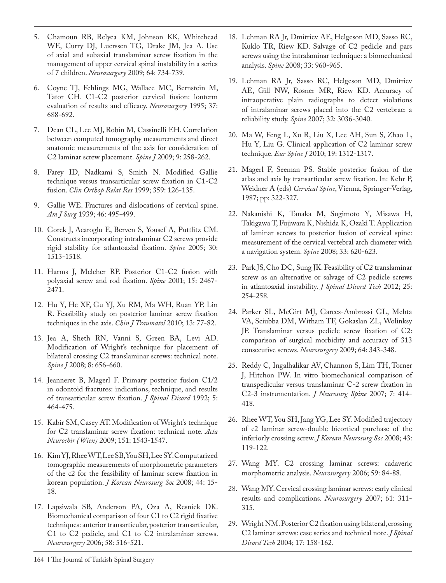- 5. Chamoun RB, Relyea KM, Johnson KK, Whitehead WE, Curry DJ, Luerssen TG, Drake JM, Jea A. Use of axial and subaxial translaminar screw fixation in the management of upper cervical spinal instability in a series of 7 children. *Neurosurgery* 2009; 64: 734-739.
- 6. Coyne TJ, Fehlings MG, Wallace MC, Bernstein M, Tator CH. C1-C2 posterior cervical fusion: lonterm evaluation of results and efficacy. *Neurosurgery* 1995; 37: 688-692.
- 7. Dean CL, Lee MJ, Robin M, Cassinelli EH. Correlation between computed tomography measurements and direct anatomic measurements of the axis for consideration of C2 laminar screw placement. *Spine J* 2009; 9: 258-262.
- 8. Farey ID, Nadkami S, Smith N. Modified Gallie technique versus transarticular screw fixation in C1-C2 fusion. *Clin Orthop Relat Res* 1999; 359: 126-135.
- 9. Gallie WE. Fractures and dislocations of cervical spine. *Am J Surg* 1939; 46: 495-499.
- 10. Gorek J, Acaroglu E, Berven S, Yousef A, Puttlitz CM. Constructs incorporating intralaminar C2 screws provide rigid stability for atlantoaxial fixation. *Spine* 2005; 30: 1513-1518.
- 11. Harms J, Melcher RP. Posterior C1-C2 fusion with polyaxial screw and rod fixation. *Spine* 2001; 15: 2467- 2471.
- 12. Hu Y, He XF, Gu YJ, Xu RM, Ma WH, Ruan YP, Lin R. Feasibility study on posterior laminar screw fixation techniques in the axis. *Chin J Traumatol* 2010; 13: 77-82.
- 13. Jea A, Sheth RN, Vanni S, Green BA, Levi AD. Modification of Wright's technique for placement of bilateral crossing C2 translaminar screws: technical note. *Spine J* 2008; 8: 656-660.
- 14. Jeanneret B, Magerl F. Primary posterior fusion C1/2 in odontoid fractures: indications, technique, and results of transarticular screw fixation. *J Spinal Disord* 1992; 5: 464-475.
- 15. Kabir SM, Casey AT. Modification of Wright's technique for C2 translaminar screw fixation: technical note. *Acta Neurochir (Wien)* 2009; 151: 1543-1547.
- 16. Kim YJ, Rhee WT, Lee SB, You SH, Lee SY. Computarized tomographic measurements of morphometric parameters of the c2 for the feasibility of laminar screw fixation in korean population. *J Korean Neurosurg Soc* 2008; 44: 15- 18.
- 17. Lapsiwala SB, Anderson PA, Oza A, Resnick DK. Biomechanical comparison of four C1 to C2 rigid fixative techniques: anterior transarticular, posterior transarticular, C1 to C2 pedicle, and C1 to C2 intralaminar screws. *Neurosurgery* 2006; 58: 516-521.
- 18. Lehman RA Jr, Dmitriev AE, Helgeson MD, Sasso RC, Kuklo TR, Riew KD. Salvage of C2 pedicle and pars screws using the intralaminar technique: a biomechanical analysis. *Spine* 2008; 33: 960-965.
- 19. Lehman RA Jr, Sasso RC, Helgeson MD, Dmitriev AE, Gill NW, Rosner MR, Riew KD. Accuracy of intraoperative plain radiographs to detect violations of intralaminar screws placed into the C2 vertebrae: a reliability study. *Spine* 2007; 32: 3036-3040.
- 20. Ma W, Feng L, Xu R, Liu X, Lee AH, Sun S, Zhao L, Hu Y, Liu G. Clinical application of C2 laminar screw technique. *Eur Spine J* 2010; 19: 1312-1317.
- 21. Magerl F, Seeman PS. Stable posterior fusion of the atlas and axis by transarticular screw fixation. In: Kehr P, Weidner A (eds) *Cervical Spine*, Vienna, Springer-Verlag, 1987; pp: 322-327.
- 22. Nakanishi K, Tanaka M, Sugimoto Y, Misawa H, Takigawa T, Fujiwara K, Nishida K, Ozaki T. Application of laminar screws to posterior fusion of cervical spine: measurement of the cervical vertebral arch diameter with a navigation system. *Spine* 2008; 33: 620-623.
- 23. Park JS, Cho DC, Sung JK. Feasibility of C2 translaminar screw as an alternative or salvage of C2 pedicle screws in atlantoaxial instability. *J Spinal Disord Tech* 2012; 25: 254-258.
- 24. Parker SL, McGirt MJ, Garces-Ambrossi GL, Mehta VA, Sciubba DM, Witham TF, Gokaslan ZL, Wolinksy JP. Translaminar versus pedicle screw fixation of C2: comparison of surgical morbidity and accuracy of 313 consecutive screws. *Neurosurgery* 2009; 64: 343-348.
- 25. Reddy C, Ingalhalikar AV, Channon S, Lim TH, Torner J, Hitchon PW. In vitro biomechanical comparison of transpedicular versus translaminar C-2 screw fixation in C2-3 instrumentation. *J Neurosurg Spine* 2007; 7: 414- 418.
- 26. Rhee WT, You SH, Jang YG, Lee SY. Modified trajectory of c2 laminar screw-double bicortical purchase of the inferiorly crossing screw. *J Korean Neurosurg Soc* 2008; 43: 119-122.
- 27. Wang MY. C2 crossing laminar screws: cadaveric morphometric analysis. *Neurosurgery* 2006; 59: 84-88.
- 28. Wang MY. Cervical crossing laminar screws: early clinical results and complications. *Neurosurgery* 2007; 61: 311- 315.
- 29. Wright NM. Posterior C2 fixation using bilateral, crossing C2 laminar screws: case series and technical note. *J Spinal Disord Tech* 2004; 17: 158-162.